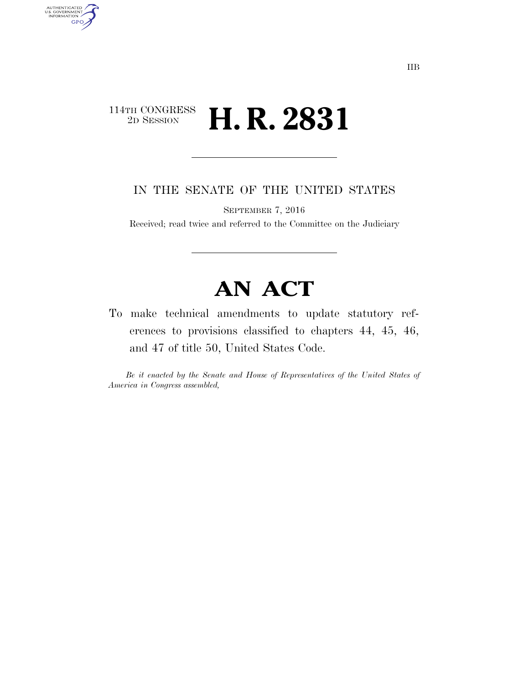## $\begin{array}{c} \textbf{114TH CONGRESS} \\ \textbf{2D} \textbf{SESSION} \end{array}$ 2D SESSION **H. R. 2831**

AUTHENTICATED<br>U.S. GOVERNMENT<br>INFORMATION **GPO** 

IN THE SENATE OF THE UNITED STATES

SEPTEMBER 7, 2016

Received; read twice and referred to the Committee on the Judiciary

## **AN ACT**

To make technical amendments to update statutory references to provisions classified to chapters 44, 45, 46, and 47 of title 50, United States Code.

*Be it enacted by the Senate and House of Representatives of the United States of America in Congress assembled,*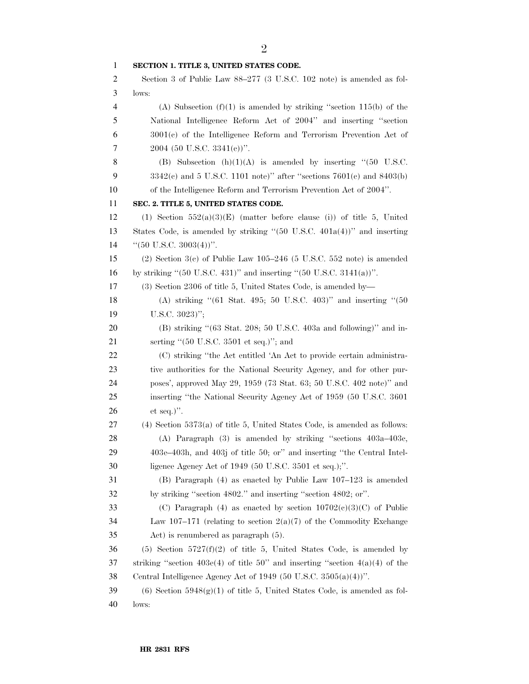| 1              | SECTION 1. TITLE 3, UNITED STATES CODE.                                                             |
|----------------|-----------------------------------------------------------------------------------------------------|
| 2              | Section 3 of Public Law 88–277 (3 U.S.C. 102 note) is amended as fol-                               |
| 3              | lows:                                                                                               |
| $\overline{4}$ | (A) Subsection $(f)(1)$ is amended by striking "section 115(b) of the                               |
| 5              | National Intelligence Reform Act of 2004" and inserting "section                                    |
| 6              | $3001(c)$ of the Intelligence Reform and Terrorism Prevention Act of                                |
| 7              | $2004$ (50 U.S.C. 3341(e))".                                                                        |
| 8              | (B) Subsection $(h)(1)(A)$ is amended by inserting "(50 U.S.C.                                      |
| 9              | $3342(c)$ and 5 U.S.C. 1101 note)" after "sections $7601(c)$ and $8403(b)$                          |
| 10             | of the Intelligence Reform and Terrorism Prevention Act of 2004".                                   |
| 11             | SEC. 2. TITLE 5, UNITED STATES CODE.                                                                |
| 12             | (1) Section $552(a)(3)(E)$ (matter before clause (i)) of title 5, United                            |
| 13             | States Code, is amended by striking " $(50 \text{ U.S.C. } 401a(4))$ " and inserting                |
| 14             | " $(50 \text{ U.S.C. } 3003(4))$ ".                                                                 |
| 15             | $(2)$ Section 3(c) of Public Law 105-246 (5 U.S.C. 552 note) is amended                             |
| 16             | by striking " $(50 \text{ U.S.C. } 431)$ " and inserting " $(50 \text{ U.S.C. } 3141(a))$ ".        |
| 17             | (3) Section 2306 of title 5, United States Code, is amended by—                                     |
| 18             | (A) striking "(61 Stat. 495; 50 U.S.C. 403)" and inserting "(50                                     |
| 19             | U.S.C. $3023$ )";                                                                                   |
| 20             | $(B)$ striking " $(63 \text{ Stat. } 208; 50 \text{ U.S.C. } 403a \text{ and following})$ " and in- |
| 21             | serting " $(50 \text{ U.S.C. } 3501 \text{ et seq.})$ "; and                                        |
| 22             | (C) striking "the Act entitled 'An Act to provide certain administra-                               |
| 23             | tive authorities for the National Security Agency, and for other pur-                               |
| 24             | poses', approved May 29, 1959 (73 Stat. 63; 50 U.S.C. 402 note)" and                                |
| 25             | inserting "the National Security Agency Act of 1959 (50 U.S.C. 3601)                                |
| 26             | et seq.)".                                                                                          |
| 27             | $(4)$ Section 5373 $(a)$ of title 5, United States Code, is amended as follows:                     |
| 28             | (A) Paragraph $(3)$ is amended by striking "sections $403a-403c$ ,                                  |
| 29             | 403e-403h, and 403j of title 50; or" and inserting "the Central Intel-                              |
| 30             | ligence Agency Act of $1949$ (50 U.S.C. 3501 et seq.);".                                            |
| 31             | $(B)$ Paragraph $(4)$ as enacted by Public Law 107–123 is amended                                   |
| 32             | by striking "section 4802." and inserting "section 4802; or".                                       |
| 33             | (C) Paragraph (4) as enacted by section $10702(e)(3)(C)$ of Public                                  |
| 34             | Law 107–171 (relating to section $2(a)(7)$ of the Commodity Exchange                                |
| 35             | Act) is renumbered as paragraph $(5)$ .                                                             |
| 36             | $(5)$ Section $5727(f)(2)$ of title 5, United States Code, is amended by                            |
| 37             | striking "section 403e(4) of title 50" and inserting "section $4(a)(4)$ of the                      |
| 38             | Central Intelligence Agency Act of 1949 (50 U.S.C. $3505(a)(4)$ )".                                 |
| 39             | $(6)$ Section 5948 $(g)(1)$ of title 5, United States Code, is amended as fol-                      |
| 40             | lows:                                                                                               |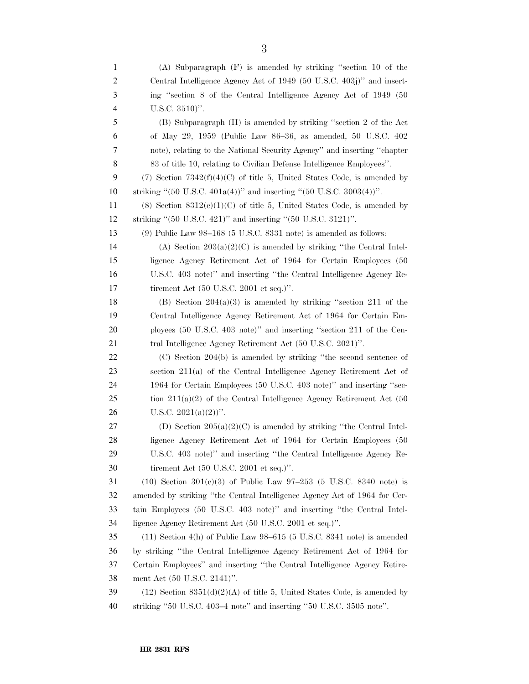(A) Subparagraph (F) is amended by striking ''section 10 of the Central Intelligence Agency Act of 1949 (50 U.S.C. 403j)'' and insert- ing ''section 8 of the Central Intelligence Agency Act of 1949 (50 U.S.C. 3510)''. (B) Subparagraph (H) is amended by striking ''section 2 of the Act of May 29, 1959 (Public Law 86–36, as amended, 50 U.S.C. 402 note), relating to the National Security Agency'' and inserting ''chapter 83 of title 10, relating to Civilian Defense Intelligence Employees''. 9 (7) Section  $7342(f)(4)(C)$  of title 5, United States Code, is amended by striking ''(50 U.S.C. 401a(4))'' and inserting ''(50 U.S.C. 3003(4))''. 11 (8) Section  $8312(e)(1)(C)$  of title 5, United States Code, is amended by striking ''(50 U.S.C. 421)'' and inserting ''(50 U.S.C. 3121)''. (9) Public Law 98–168 (5 U.S.C. 8331 note) is amended as follows: 14 (A) Section  $203(a)(2)(C)$  is amended by striking "the Central Intel- ligence Agency Retirement Act of 1964 for Certain Employees (50 U.S.C. 403 note)'' and inserting ''the Central Intelligence Agency Re- tirement Act (50 U.S.C. 2001 et seq.)''. 18 (B) Section  $204(a)(3)$  is amended by striking "section 211 of the Central Intelligence Agency Retirement Act of 1964 for Certain Em- ployees (50 U.S.C. 403 note)'' and inserting ''section 211 of the Cen-21 tral Intelligence Agency Retirement Act (50 U.S.C. 2021)''. (C) Section 204(b) is amended by striking ''the second sentence of section 211(a) of the Central Intelligence Agency Retirement Act of 1964 for Certain Employees (50 U.S.C. 403 note)'' and inserting ''sec- tion  $211(a)(2)$  of the Central Intelligence Agency Retirement Act (50 26 U.S.C.  $2021(a)(2)$ ". 27 (D) Section  $205(a)(2)(C)$  is amended by striking "the Central Intel- ligence Agency Retirement Act of 1964 for Certain Employees (50 U.S.C. 403 note)'' and inserting ''the Central Intelligence Agency Re- tirement Act (50 U.S.C. 2001 et seq.)''. 31 (10) Section  $301(e)(3)$  of Public Law 97–253 (5 U.S.C. 8340 note) is amended by striking ''the Central Intelligence Agency Act of 1964 for Cer- tain Employees (50 U.S.C. 403 note)'' and inserting ''the Central Intel- ligence Agency Retirement Act (50 U.S.C. 2001 et seq.)''. (11) Section 4(h) of Public Law 98–615 (5 U.S.C. 8341 note) is amended by striking ''the Central Intelligence Agency Retirement Act of 1964 for Certain Employees'' and inserting ''the Central Intelligence Agency Retire- ment Act (50 U.S.C. 2141)''. 39 (12) Section  $8351(d)(2)(A)$  of title 5, United States Code, is amended by striking ''50 U.S.C. 403–4 note'' and inserting ''50 U.S.C. 3505 note''.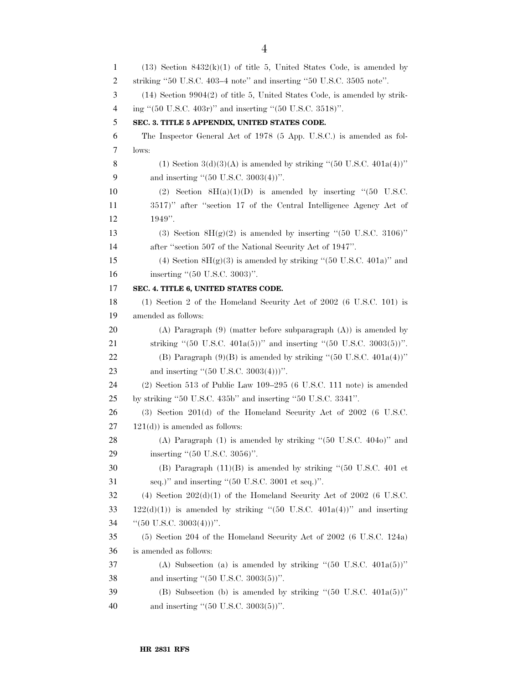1 (13) Section  $8432(k)(1)$  of title 5, United States Code, is amended by 2 striking ''50 U.S.C. 403–4 note'' and inserting ''50 U.S.C. 3505 note''. 3 (14) Section 9904(2) of title 5, United States Code, is amended by strik-4 ing ''(50 U.S.C. 403r)'' and inserting ''(50 U.S.C. 3518)''. 5 **SEC. 3. TITLE 5 APPENDIX, UNITED STATES CODE.**  6 The Inspector General Act of 1978 (5 App. U.S.C.) is amended as fol-7 lows: 8 (1) Section  $3(d)(3)(A)$  is amended by striking "(50 U.S.C.  $401a(4)$ )" 9 and inserting "(50 U.S.C. 3003(4))". 10 (2) Section  $8H(a)(1)(D)$  is amended by inserting "(50 U.S.C. 11 3517)'' after ''section 17 of the Central Intelligence Agency Act of 12 1949''. 13 (3) Section  $8H(g)(2)$  is amended by inserting "(50 U.S.C. 3106)" 14 after ''section 507 of the National Security Act of 1947''. 15 (4) Section  $8H(g)(3)$  is amended by striking "(50 U.S.C. 401a)" and 16 inserting "(50 U.S.C. 3003)". 17 **SEC. 4. TITLE 6, UNITED STATES CODE.**  18 (1) Section 2 of the Homeland Security Act of 2002 (6 U.S.C. 101) is 19 amended as follows: 20 (A) Paragraph (9) (matter before subparagraph (A)) is amended by 21 striking "(50 U.S.C. 401a(5))" and inserting "(50 U.S.C. 3003(5))". 22 (B) Paragraph  $(9)(B)$  is amended by striking " $(50 \text{ U.S.C. } 401a(4))$ " 23 and inserting "(50 U.S.C. 3003(4)))". 24 (2) Section 513 of Public Law 109–295 (6 U.S.C. 111 note) is amended 25 by striking ''50 U.S.C. 435b'' and inserting ''50 U.S.C. 3341''. 26 (3) Section 201(d) of the Homeland Security Act of 2002 (6 U.S.C.  $27 \quad 121(d)$  is amended as follows: 28 (A) Paragraph (1) is amended by striking ''(50 U.S.C. 404o)'' and 29 inserting "(50 U.S.C. 3056)". 30 (B) Paragraph (11)(B) is amended by striking ''(50 U.S.C. 401 et 31 seq.)'' and inserting ''(50 U.S.C. 3001 et seq.)''. 32 (4) Section  $202(d)(1)$  of the Homeland Security Act of  $2002$  (6 U.S.C. 33 122(d)(1)) is amended by striking "(50 U.S.C.  $401a(4)$ )" and inserting 34 (60 U.S.C. 3003(4)))". 35 (5) Section 204 of the Homeland Security Act of 2002 (6 U.S.C. 124a) 36 is amended as follows: 37 (A) Subsection (a) is amended by striking ''(50 U.S.C. 401a(5))'' 38 and inserting "(50 U.S.C. 3003(5))". 39 (B) Subsection (b) is amended by striking ''(50 U.S.C. 401a(5))'' 40 and inserting "(50 U.S.C. 3003(5))".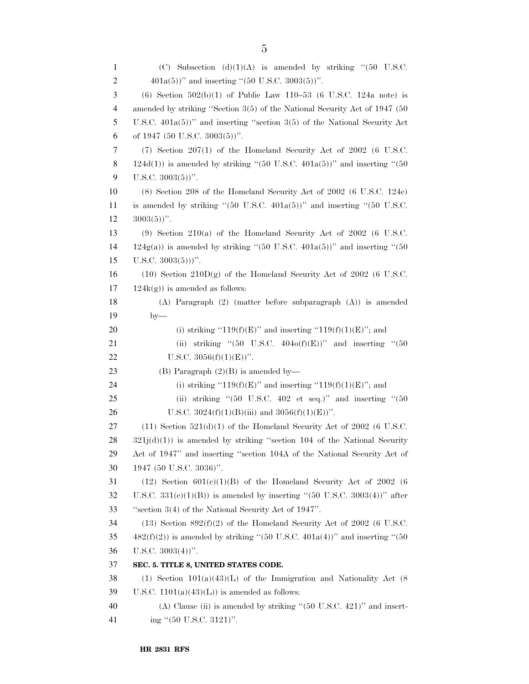| 1  | Subsection (d)(1)(A) is amended by striking "(50 U.S.C.<br>(C)                                                             |
|----|----------------------------------------------------------------------------------------------------------------------------|
| 2  | $401a(5)$ " and inserting "(50 U.S.C. 3003(5))".                                                                           |
| 3  | (6) Section $502(b)(1)$ of Public Law 110-53 (6 U.S.C. 124a note) is                                                       |
| 4  | amended by striking "Section 3(5) of the National Security Act of 1947 (50                                                 |
| 5  | U.S.C. $401a(5)$ " and inserting "section 3(5) of the National Security Act                                                |
| 6  | of 1947 (50 U.S.C. 3003(5))".                                                                                              |
| 7  | $(7)$ Section 207(1) of the Homeland Security Act of 2002 (6 U.S.C.                                                        |
| 8  | $124d(1)$ ) is amended by striking "(50 U.S.C. $401a(5)$ )" and inserting "(50                                             |
| 9  | U.S.C. $3003(5)$ ".                                                                                                        |
| 10 | (8) Section 208 of the Homeland Security Act of 2002 (6 U.S.C. 124e)                                                       |
| 11 | is amended by striking " $(50 \text{ U.S.C. } 401a(5))$ " and inserting " $(50 \text{ U.S.C. } 401a(5))$ "                 |
| 12 | $3003(5)$ ".                                                                                                               |
| 13 | $(9)$ Section 210(a) of the Homeland Security Act of 2002 (6 U.S.C.                                                        |
| 14 | $124g(a)$ ) is amended by striking "(50 U.S.C. 401a(5))" and inserting "(50                                                |
| 15 | U.S.C. $3003(5))$ ".                                                                                                       |
| 16 | $(10)$ Section $210D(g)$ of the Homeland Security Act of 2002 (6 U.S.C.                                                    |
| 17 | $124k(g)$ ) is amended as follows:                                                                                         |
| 18 | $(A)$ Paragraph $(2)$ (matter before subparagraph $(A)$ ) is amended                                                       |
| 19 | $by-$                                                                                                                      |
| 20 | (i) striking "119(f)(E)" and inserting "119(f)(1)(E)"; and                                                                 |
| 21 | striking "(50 U.S.C. $404o(f)(E)$ )" and inserting "(50<br>(ii)                                                            |
| 22 | U.S.C. $3056(f)(1)(E))$ ".                                                                                                 |
| 23 | (B) Paragraph $(2)(B)$ is amended by—                                                                                      |
| 24 | (i) striking "119(f)(E)" and inserting "119(f)(1)(E)"; and                                                                 |
| 25 | (ii) striking " $(50 \text{ U.S.C. } 402 \text{ et seq.})$ " and inserting " $(50 \text{ V.S. C. } 402 \text{ et seq.})$ " |
| 26 | U.S.C. $3024(f)(1)(B)(iii)$ and $3056(f)(1)(E))$ ".                                                                        |
| 27 | $(11)$ Section 521(d)(1) of the Homeland Security Act of 2002 (6 U.S.C.                                                    |
| 28 | $321j(d)(1)$ is amended by striking "section 104 of the National Security                                                  |
| 29 | Act of 1947" and inserting "section 104A of the National Security Act of                                                   |
| 30 | 1947 (50 U.S.C. 3036)".                                                                                                    |
| 31 | $(12)$ Section $601(c)(1)(B)$ of the Homeland Security Act of 2002 (6)                                                     |
| 32 | U.S.C. 331(e)(1)(B)) is amended by inserting "(50 U.S.C. 3003(4))" after                                                   |
| 33 | "section $3(4)$ of the National Security Act of $1947$ ".                                                                  |
| 34 | $(13)$ Section $892(f)(2)$ of the Homeland Security Act of 2002 (6 U.S.C.                                                  |
| 35 | $482(f)(2)$ ) is amended by striking "(50 U.S.C. $401a(4)$ )" and inserting "(50                                           |
| 36 | U.S.C. $3003(4)$ ".                                                                                                        |
| 37 | SEC. 5. TITLE 8, UNITED STATES CODE.                                                                                       |
| 38 | (1) Section $101(a)(43)(L)$ of the Immigration and Nationality Act (8)                                                     |
| 39 | U.S.C. $1101(a)(43)(L)$ is amended as follows:                                                                             |
| 40 | (A) Clause (ii) is amended by striking " $(50 \text{ U.S.C. } 421)$ " and insert-                                          |
| 41 | ing "(50 U.S.C. 3121)".                                                                                                    |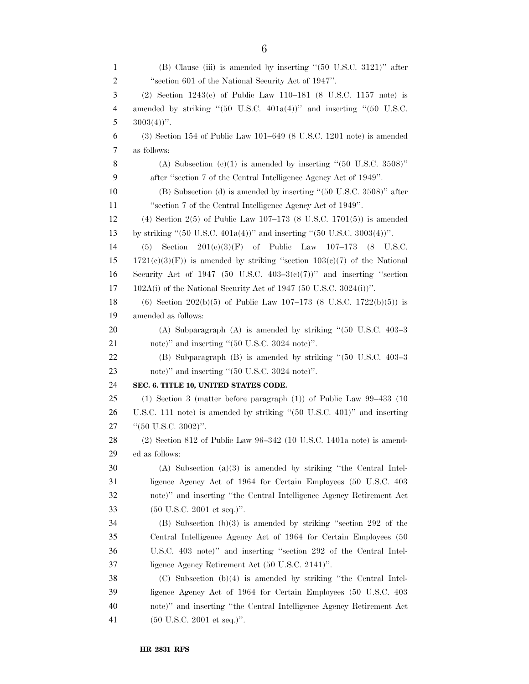| $\mathbf{1}$ | (B) Clause (iii) is amended by inserting "(50 U.S.C. 3121)" after                                       |
|--------------|---------------------------------------------------------------------------------------------------------|
| 2            | "section 601 of the National Security Act of 1947".                                                     |
| 3            | (2) Section $1243(c)$ of Public Law $110-181$ (8 U.S.C. $1157$ note) is                                 |
| 4            | amended by striking " $(50 \text{ U.S.C. } 401a(4))$ " and inserting " $(50 \text{ U.S.C. } 401a(4))$ " |
| 5            | $3003(4)$ ".                                                                                            |
| 6            | $(3)$ Section 154 of Public Law 101–649 $(8 \text{ U.S.C. } 1201 \text{ note})$ is amended              |
| 7            | as follows:                                                                                             |
| 8            | (A) Subsection (c)(1) is amended by inserting " $(50 \text{ U.S.C. } 3508)$ "                           |
| 9            | after "section 7 of the Central Intelligence Agency Act of 1949".                                       |
| 10           | (B) Subsection (d) is amended by inserting "(50 U.S.C. 3508)" after                                     |
| 11           | "section 7 of the Central Intelligence Agency Act of 1949".                                             |
| 12           | (4) Section 2(5) of Public Law $107-173$ (8 U.S.C. 1701(5)) is amended                                  |
| 13           | by striking " $(50 \text{ U.S.C. } 401a(4))$ " and inserting " $(50 \text{ U.S.C. } 3003(4))$ ".        |
| 14           | $201(e)(3)(F)$ of Public Law $107-173$ (8 U.S.C.<br>Section<br>(5)                                      |
| 15           | $1721(c)(3)(F)$ is amended by striking "section $103(c)(7)$ of the National                             |
| 16           | Security Act of 1947 (50 U.S.C. $403-3(e)(7)$ )" and inserting "section                                 |
| 17           | $102A(i)$ of the National Security Act of 1947 (50 U.S.C. 3024(i))".                                    |
| 18           | (6) Section 202(b)(5) of Public Law 107-173 (8 U.S.C. 1722(b)(5)) is                                    |
| 19           | amended as follows:                                                                                     |
| 20           | (A) Subparagraph (A) is amended by striking " $(50 \text{ U.S.C. } 403-3)$                              |
| 21           | note)" and inserting "(50 U.S.C. 3024 note)".                                                           |
| 22           | (B) Subparagraph (B) is amended by striking "(50 U.S.C. 403-3)                                          |
| 23           | note)" and inserting "(50 U.S.C. 3024 note)".                                                           |
| 24           | SEC. 6. TITLE 10, UNITED STATES CODE.                                                                   |
| 25           | $(1)$ Section 3 (matter before paragraph $(1)$ ) of Public Law 99-433 (10)                              |
| 26           | U.S.C. 111 note) is amended by striking "(50 U.S.C. 401)" and inserting                                 |
| 27           | " $(50 \text{ U.S.C. } 3002)$ ".                                                                        |
| 28           | $(2)$ Section 812 of Public Law 96-342 (10 U.S.C. 1401a note) is amend-                                 |
| 29           | ed as follows:                                                                                          |
| 30           | $(A)$ Subsection $(a)(3)$ is amended by striking "the Central Intel-                                    |
| 31           | ligence Agency Act of 1964 for Certain Employees (50 U.S.C. 403                                         |
| 32           | note)" and inserting "the Central Intelligence Agency Retirement Act                                    |
| 33           | $(50 \text{ U.S.C. } 2001 \text{ et seq.})$ ".                                                          |
| 34           | (B) Subsection (b)(3) is amended by striking "section 292 of the                                        |
| 35           | Central Intelligence Agency Act of 1964 for Certain Employees (50                                       |
| 36           | U.S.C. 403 note)" and inserting "section 292 of the Central Intel-                                      |
| 37           | ligence Agency Retirement Act (50 U.S.C. 2141)".                                                        |
| 38           | $(C)$ Subsection $(b)(4)$ is amended by striking "the Central Intel-                                    |
| 39           | ligence Agency Act of 1964 for Certain Employees (50 U.S.C. 403                                         |
| 40           | note)" and inserting "the Central Intelligence Agency Retirement Act                                    |
| 41           | $(50 \text{ U.S.C. } 2001 \text{ et seq.})$ ".                                                          |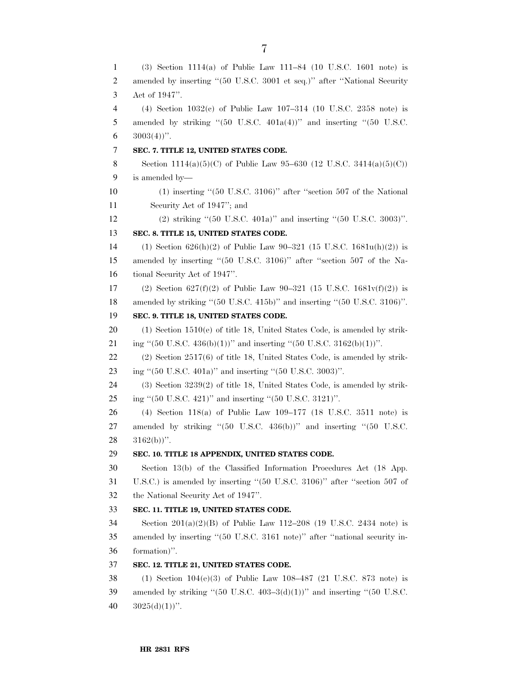(3) Section 1114(a) of Public Law 111–84 (10 U.S.C. 1601 note) is 2 amended by inserting "(50 U.S.C. 3001 et seq.)" after "National Security Act of 1947''. (4) Section 1032(c) of Public Law 107–314 (10 U.S.C. 2358 note) is 5 amended by striking " $(50 \text{ U.S.C. } 401a(4))$ " and inserting " $(50 \text{ U.S.C. } 401a(4))$ "  $3003(4)$ ". **SEC. 7. TITLE 12, UNITED STATES CODE.**  8 Section 1114(a)(5)(C) of Public Law 95–630 (12 U.S.C. 3414(a)(5)(C)) is amended by— (1) inserting ''(50 U.S.C. 3106)'' after ''section 507 of the National Security Act of 1947''; and (2) striking ''(50 U.S.C. 401a)'' and inserting ''(50 U.S.C. 3003)''. **SEC. 8. TITLE 15, UNITED STATES CODE.**  14 (1) Section  $626(h)(2)$  of Public Law  $90-321$  (15 U.S.C. 1681u(h)(2)) is amended by inserting ''(50 U.S.C. 3106)'' after ''section 507 of the Na- tional Security Act of 1947''. 17 (2) Section  $627(f)(2)$  of Public Law 90-321 (15 U.S.C. 1681 $v(f)(2)$ ) is amended by striking ''(50 U.S.C. 415b)'' and inserting ''(50 U.S.C. 3106)''. **SEC. 9. TITLE 18, UNITED STATES CODE.**  (1) Section 1510(e) of title 18, United States Code, is amended by strik-21 ing "(50 U.S.C. 436(b)(1))" and inserting "(50 U.S.C. 3162(b)(1))". (2) Section 2517(6) of title 18, United States Code, is amended by strik- ing ''(50 U.S.C. 401a)'' and inserting ''(50 U.S.C. 3003)''. (3) Section 3239(2) of title 18, United States Code, is amended by strik- ing ''(50 U.S.C. 421)'' and inserting ''(50 U.S.C. 3121)''. (4) Section 118(a) of Public Law 109–177 (18 U.S.C. 3511 note) is 27 amended by striking "(50 U.S.C. 436(b))" and inserting "(50 U.S.C.  $28 \quad 3162(b)$ ". **SEC. 10. TITLE 18 APPENDIX, UNITED STATES CODE.**  Section 13(b) of the Classified Information Procedures Act (18 App. U.S.C.) is amended by inserting ''(50 U.S.C. 3106)'' after ''section 507 of the National Security Act of 1947''. **SEC. 11. TITLE 19, UNITED STATES CODE.**  Section 201(a)(2)(B) of Public Law 112–208 (19 U.S.C. 2434 note) is amended by inserting ''(50 U.S.C. 3161 note)'' after ''national security in- formation)''. **SEC. 12. TITLE 21, UNITED STATES CODE.**  (1) Section 104(e)(3) of Public Law 108–487 (21 U.S.C. 873 note) is 39 amended by striking " $(50 \text{ U.S.C. } 403-3(d)(1))$ " and inserting " $(50 \text{ U.S.C. } 403-3(d)(1))$ "  $3025(d)(1)$ ".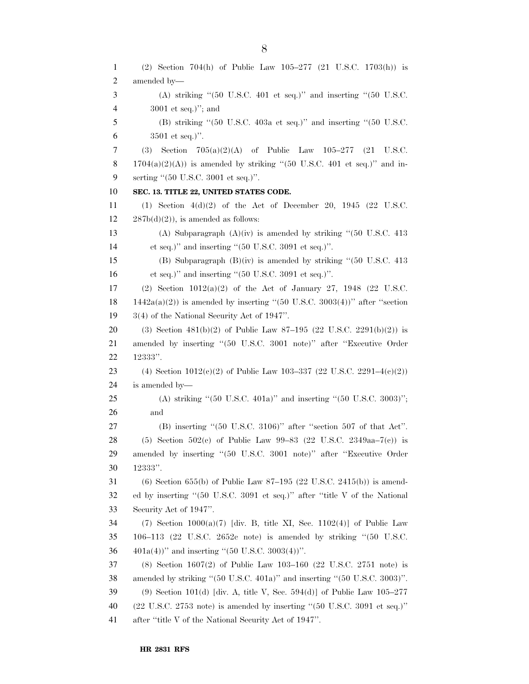(2) Section 704(h) of Public Law 105–277 (21 U.S.C. 1703(h)) is amended by— (A) striking ''(50 U.S.C. 401 et seq.)'' and inserting ''(50 U.S.C. 3001 et seq.)''; and (B) striking ''(50 U.S.C. 403a et seq.)'' and inserting ''(50 U.S.C. 3501 et seq.)''. (3) Section 705(a)(2)(A) of Public Law 105–277 (21 U.S.C. 8 1704(a)(2)(A)) is amended by striking "(50 U.S.C. 401 et seq.)" and in- serting ''(50 U.S.C. 3001 et seq.)''. **SEC. 13. TITLE 22, UNITED STATES CODE.**  (1) Section 4(d)(2) of the Act of December 20, 1945 (22 U.S.C.  $12 \qquad 287b(d)(2)$ , is amended as follows: (A) Subparagraph (A)(iv) is amended by striking ''(50 U.S.C. 413 et seq.)'' and inserting ''(50 U.S.C. 3091 et seq.)''. (B) Subparagraph (B)(iv) is amended by striking ''(50 U.S.C. 413 et seq.)'' and inserting ''(50 U.S.C. 3091 et seq.)''. (2) Section 1012(a)(2) of the Act of January 27, 1948 (22 U.S.C. 18 1442a(a)(2)) is amended by inserting "(50 U.S.C. 3003(4))" after "section 3(4) of the National Security Act of 1947''. 20 (3) Section  $481(b)(2)$  of Public Law  $87-195$  (22 U.S.C. 2291(b)(2)) is amended by inserting ''(50 U.S.C. 3001 note)'' after ''Executive Order 12333''. 23 (4) Section  $1012(c)(2)$  of Public Law 103-337 (22 U.S.C. 2291-4(c)(2)) is amended by— (A) striking ''(50 U.S.C. 401a)'' and inserting ''(50 U.S.C. 3003)''; and (B) inserting ''(50 U.S.C. 3106)'' after ''section 507 of that Act''. 28 (5) Section 502(e) of Public Law 99-83 (22 U.S.C. 2349aa–7(e)) is amended by inserting ''(50 U.S.C. 3001 note)'' after ''Executive Order 12333''. (6) Section 655(b) of Public Law 87–195 (22 U.S.C. 2415(b)) is amend- ed by inserting ''(50 U.S.C. 3091 et seq.)'' after ''title V of the National Security Act of 1947''. (7) Section 1000(a)(7) [div. B, title XI, Sec. 1102(4)] of Public Law 106–113 (22 U.S.C. 2652c note) is amended by striking ''(50 U.S.C.  $401a(4)$ " and inserting "(50 U.S.C. 3003(4))". (8) Section 1607(2) of Public Law 103–160 (22 U.S.C. 2751 note) is amended by striking ''(50 U.S.C. 401a)'' and inserting ''(50 U.S.C. 3003)''. 39 (9) Section 101(d) [div. A, title V, Sec. 594(d)] of Public Law  $105-277$  (22 U.S.C. 2753 note) is amended by inserting ''(50 U.S.C. 3091 et seq.)'' after ''title V of the National Security Act of 1947''.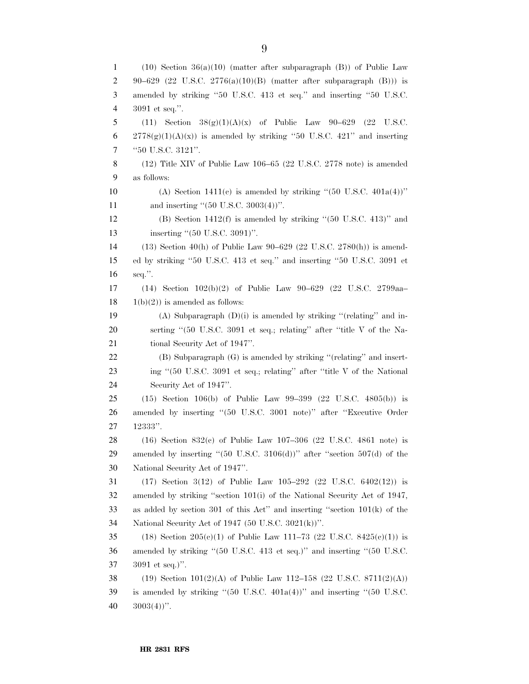1 (10) Section  $36(a)(10)$  (matter after subparagraph (B)) of Public Law 2 90–629 (22 U.S.C. 2776(a)(10)(B) (matter after subparagraph (B))) is amended by striking ''50 U.S.C. 413 et seq.'' and inserting ''50 U.S.C. 3091 et seq.''. 5 (11) Section  $38(g)(1)(A)(x)$  of Public Law  $90-629$  (22 U.S.C. 6 2778 $(g)(1)(A)(x)$  is amended by striking "50 U.S.C. 421" and inserting ''50 U.S.C. 3121''. (12) Title XIV of Public Law 106–65 (22 U.S.C. 2778 note) is amended as follows: 10 (A) Section 1411(c) is amended by striking "(50 U.S.C.  $401a(4)$ )" 11 and inserting "(50 U.S.C. 3003(4))". (B) Section 1412(f) is amended by striking ''(50 U.S.C. 413)'' and 13 inserting "(50 U.S.C. 3091)". (13) Section 40(h) of Public Law 90–629 (22 U.S.C. 2780(h)) is amend- ed by striking ''50 U.S.C. 413 et seq.'' and inserting ''50 U.S.C. 3091 et seq.''. (14) Section 102(b)(2) of Public Law 90–629 (22 U.S.C. 2799aa–  $18 \t1(b)(2)$  is amended as follows: 19 (A) Subparagraph  $(D)(i)$  is amended by striking "(relating" and in- serting ''(50 U.S.C. 3091 et seq.; relating'' after ''title V of the Na-21 tional Security Act of 1947". (B) Subparagraph (G) is amended by striking ''(relating'' and insert-23 ing "(50 U.S.C. 3091 et seq.; relating" after "title V of the National Security Act of 1947''. (15) Section 106(b) of Public Law 99–399 (22 U.S.C. 4805(b)) is amended by inserting ''(50 U.S.C. 3001 note)'' after ''Executive Order 12333''. (16) Section 832(c) of Public Law 107–306 (22 U.S.C. 4861 note) is 29 amended by inserting " $(50 \text{ U.S.C. } 3106(d))$ " after "section  $507(d)$  of the National Security Act of 1947''. (17) Section 3(12) of Public Law 105–292 (22 U.S.C. 6402(12)) is amended by striking ''section 101(i) of the National Security Act of 1947, as added by section 301 of this Act'' and inserting ''section 101(k) of the National Security Act of 1947 (50 U.S.C. 3021(k))''. 35 (18) Section 205(c)(1) of Public Law 111–73 (22 U.S.C. 8425(c)(1)) is amended by striking ''(50 U.S.C. 413 et seq.)'' and inserting ''(50 U.S.C. 3091 et seq.)''. (19) Section 101(2)(A) of Public Law 112–158 (22 U.S.C. 8711(2)(A)) is amended by striking ''(50 U.S.C. 401a(4))'' and inserting ''(50 U.S.C.  $40 \quad 3003(4)$ ".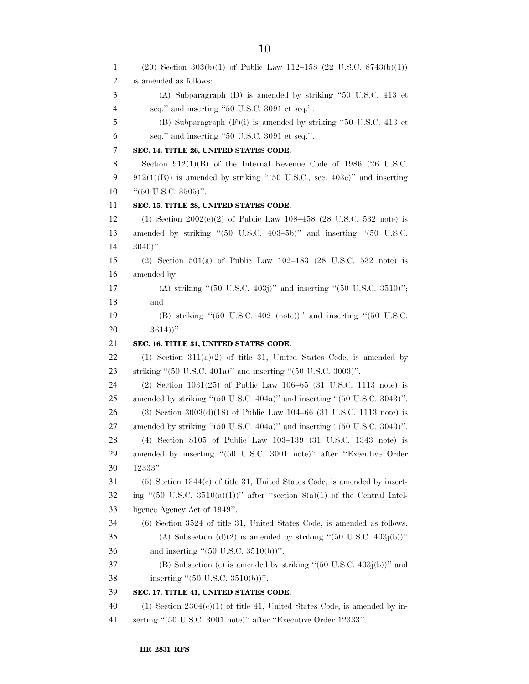| 1  | $(20)$ Section 303(b)(1) of Public Law 112-158 (22 U.S.C. 8743(b)(1))                                 |
|----|-------------------------------------------------------------------------------------------------------|
| 2  | is amended as follows:                                                                                |
| 3  | (A) Subparagraph (D) is amended by striking "50 U.S.C. 413 et                                         |
| 4  | seq." and inserting "50 U.S.C. 3091 et seq.".                                                         |
| 5  | (B) Subparagraph $(F)(i)$ is amended by striking "50 U.S.C. 413 et                                    |
| 6  | seq." and inserting "50 U.S.C. 3091 et seq.".                                                         |
| 7  | SEC. 14. TITLE 26, UNITED STATES CODE.                                                                |
| 8  | Section $912(1)(B)$ of the Internal Revenue Code of 1986 (26 U.S.C.                                   |
| 9  | $912(1)(B)$ ) is amended by striking "(50 U.S.C., sec. 403e)" and inserting                           |
| 10 | " $(50 \text{ U.S.C. } 3505)$ ".                                                                      |
| 11 | SEC. 15. TITLE 28, UNITED STATES CODE.                                                                |
| 12 | (1) Section $2002(e)(2)$ of Public Law 108-458 (28 U.S.C. 532 note) is                                |
| 13 | amended by striking " $(50 \text{ U.S.C. } 403-5b)$ " and inserting " $(50 \text{ U.S.C. } 403-5b)$ " |
| 14 | $3040$ ".                                                                                             |
| 15 | (2) Section 501(a) of Public Law $102-183$ (28 U.S.C. 532 note) is                                    |
| 16 | amended by-                                                                                           |
| 17 | (A) striking " $(50 \text{ U.S.C. } 403)$ " and inserting " $(50 \text{ U.S.C. } 3510)$ ";            |
| 18 | and                                                                                                   |
| 19 | (B) striking " $(50 \text{ U.S.C. } 402 \text{ (note)})$ " and inserting " $(50 \text{ U.S.C. }$      |
| 20 | $3614)$ .                                                                                             |
| 21 | SEC. 16. TITLE 31, UNITED STATES CODE.                                                                |
| 22 | $(1)$ Section 311(a)(2) of title 31, United States Code, is amended by                                |
| 23 | striking " $(50 \text{ U.S.C. } 401a)$ " and inserting " $(50 \text{ U.S.C. } 3003)$ ".               |
| 24 | (2) Section $1031(25)$ of Public Law $106-65$ (31 U.S.C. 1113 note) is                                |
| 25 | amended by striking "(50 U.S.C. 404a)" and inserting "(50 U.S.C. 3043)".                              |
| 26 | (3) Section $3003(d)(18)$ of Public Law $104-66$ (31 U.S.C. 1113 note) is                             |
| 27 | amended by striking "(50 U.S.C. 404a)" and inserting "(50 U.S.C. 3043)".                              |
| 28 | (4) Section 8105 of Public Law 103-139 (31 U.S.C. 1343 note) is                                       |
| 29 | amended by inserting "(50 U.S.C. 3001 note)" after "Executive Order                                   |
| 30 | $12333"$ .                                                                                            |
| 31 | $(5)$ Section 1344 $(c)$ of title 31, United States Code, is amended by insert-                       |
| 32 | ing "(50 U.S.C. 3510(a)(1))" after "section $8(a)(1)$ of the Central Intel-                           |
| 33 | ligence Agency Act of 1949".                                                                          |
| 34 | $(6)$ Section 3524 of title 31, United States Code, is amended as follows:                            |
| 35 | (A) Subsection (d)(2) is amended by striking " $(50 \text{ U.S.C. } 403j(b))$ "                       |
| 36 | and inserting " $(50 \text{ U.S.C. } 3510(b))$ ".                                                     |
| 37 | (B) Subsection (e) is amended by striking " $(50 \text{ U.S.C. } 403j(b))$ " and                      |
| 38 | inserting " $(50 \text{ U.S.C. } 3510(b))$ ".                                                         |
| 39 | SEC. 17. TITLE 41, UNITED STATES CODE.                                                                |
| 40 | $(1)$ Section 2304 $(e)(1)$ of title 41, United States Code, is amended by in-                        |
| 41 | serting "(50 U.S.C. 3001 note)" after "Executive Order 12333".                                        |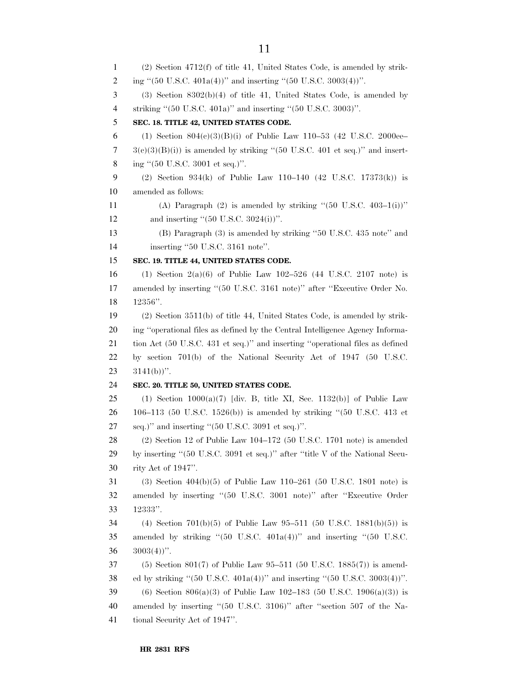(2) Section 4712(f) of title 41, United States Code, is amended by strik-2 ing "(50 U.S.C. 401a(4))" and inserting "(50 U.S.C. 3003(4))". (3) Section 8302(b)(4) of title 41, United States Code, is amended by striking ''(50 U.S.C. 401a)'' and inserting ''(50 U.S.C. 3003)''. **SEC. 18. TITLE 42, UNITED STATES CODE.**  6 (1) Section  $804(e)(3)(B)(i)$  of Public Law 110–53 (42 U.S.C. 2000ee–  $7 \text{ }$  3(c)(3)(B)(i)) is amended by striking "(50 U.S.C. 401 et seq.)" and insert- ing ''(50 U.S.C. 3001 et seq.)''. (2) Section 934(k) of Public Law 110–140 (42 U.S.C. 17373(k)) is amended as follows: 11 (A) Paragraph (2) is amended by striking " $(50 \text{ U.S.C. } 403-1(i))$ " 12 and inserting "(50 U.S.C. 3024(i))". (B) Paragraph (3) is amended by striking ''50 U.S.C. 435 note'' and 14 inserting "50 U.S.C. 3161 note". **SEC. 19. TITLE 44, UNITED STATES CODE.**  (1) Section 2(a)(6) of Public Law 102–526 (44 U.S.C. 2107 note) is amended by inserting ''(50 U.S.C. 3161 note)'' after ''Executive Order No. 12356''. (2) Section 3511(b) of title 44, United States Code, is amended by strik- ing ''operational files as defined by the Central Intelligence Agency Informa- tion Act (50 U.S.C. 431 et seq.)'' and inserting ''operational files as defined by section 701(b) of the National Security Act of 1947 (50 U.S.C.  $23 \quad 3141(b))$ ". **SEC. 20. TITLE 50, UNITED STATES CODE.**  25 (1) Section  $1000(a)(7)$  [div. B, title XI, Sec. 1132(b)] of Public Law 106–113 (50 U.S.C. 1526(b)) is amended by striking ''(50 U.S.C. 413 et seq.)" and inserting "(50 U.S.C. 3091 et seq.)". (2) Section 12 of Public Law 104–172 (50 U.S.C. 1701 note) is amended by inserting ''(50 U.S.C. 3091 et seq.)'' after ''title V of the National Secu- rity Act of 1947''. (3) Section 404(b)(5) of Public Law 110–261 (50 U.S.C. 1801 note) is amended by inserting ''(50 U.S.C. 3001 note)'' after ''Executive Order 12333''. (4) Section 701(b)(5) of Public Law 95–511 (50 U.S.C. 1881(b)(5)) is amended by striking ''(50 U.S.C. 401a(4))'' and inserting ''(50 U.S.C.  $36 \quad 3003(4)$ ". (5) Section 801(7) of Public Law 95–511 (50 U.S.C. 1885(7)) is amend- ed by striking ''(50 U.S.C. 401a(4))'' and inserting ''(50 U.S.C. 3003(4))''. 39 (6) Section  $806(a)(3)$  of Public Law 102–183 (50 U.S.C. 1906(a)(3)) is amended by inserting ''(50 U.S.C. 3106)'' after ''section 507 of the Na-tional Security Act of 1947''.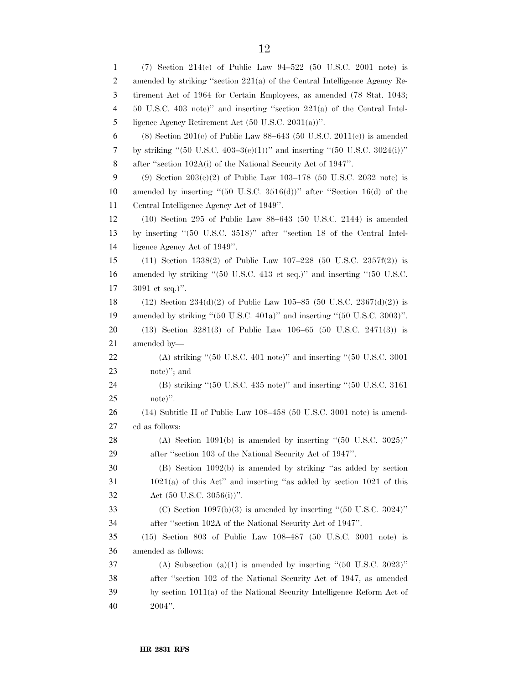| $\mathbf{1}$ | (7) Section 214(c) of Public Law $94-522$ (50 U.S.C. 2001 note) is                                            |
|--------------|---------------------------------------------------------------------------------------------------------------|
| 2            | amended by striking "section 221(a) of the Central Intelligence Agency Re-                                    |
| 3            | tirement Act of 1964 for Certain Employees, as amended (78 Stat. 1043;                                        |
| 4            | 50 U.S.C. 403 note)" and inserting "section $221(a)$ of the Central Intel-                                    |
| 5            | ligence Agency Retirement Act $(50 \text{ U.S.C. } 2031(a))$ ".                                               |
| 6            | (8) Section 201(c) of Public Law 88-643 (50 U.S.C. 2011(c)) is amended                                        |
| 7            | by striking "(50 U.S.C. 403–3(e)(1))" and inserting "(50 U.S.C. 3024(i))"                                     |
| 8            | after "section 102A(i) of the National Security Act of 1947".                                                 |
| 9            | (9) Section $203(e)(2)$ of Public Law $103-178$ (50 U.S.C. 2032 note) is                                      |
| 10           | amended by inserting " $(50 \text{ U.S.C. } 3516(d))$ " after "Section 16(d) of the                           |
| 11           | Central Intelligence Agency Act of 1949".                                                                     |
| 12           | $(10)$ Section 295 of Public Law 88–643 (50 U.S.C. 2144) is amended                                           |
| 13           | by inserting "(50 U.S.C. 3518)" after "section 18 of the Central Intel-                                       |
| 14           | ligence Agency Act of 1949".                                                                                  |
| 15           | $(11)$ Section 1338(2) of Public Law 107-228 (50 U.S.C. 2357f(2)) is                                          |
| 16           | amended by striking "(50 U.S.C. 413 et seq.)" and inserting "(50 U.S.C.                                       |
| 17           | $3091$ et seq.)".                                                                                             |
| 18           | $(12)$ Section $234(d)(2)$ of Public Law 105–85 (50 U.S.C. $2367(d)(2)$ ) is                                  |
| 19           | amended by striking "(50 U.S.C. 401a)" and inserting "(50 U.S.C. 3003)".                                      |
| 20           | $(13)$ Section 3281(3) of Public Law 106-65 (50 U.S.C. 2471(3)) is                                            |
| 21           | amended by-                                                                                                   |
| 22           | (A) striking " $(50 \text{ U.S.C. } 401 \text{ note})$ " and inserting " $(50 \text{ U.S.C. } 3001 \text{ s}$ |
| 23           | note)"; and                                                                                                   |
| 24           | (B) striking "(50 U.S.C. 435 note)" and inserting "(50 U.S.C. 3161)                                           |
| 25           | note)".                                                                                                       |
| 26           | (14) Subtitle H of Public Law 108-458 (50 U.S.C. 3001 note) is amend-                                         |
| 27           | ed as follows:                                                                                                |
| 28           | (A) Section 1091(b) is amended by inserting " $(50 \text{ U.S.C. } 3025)$ "                                   |
| 29           | after "section 103 of the National Security Act of 1947".                                                     |
| 30           | $(B)$ Section 1092(b) is amended by striking "as added by section                                             |
| 31           | $1021(a)$ of this Act" and inserting "as added by section 1021 of this                                        |
| 32           | Act $(50 \text{ U.S.C. } 3056(i))$ ".                                                                         |
| 33           | (C) Section $1097(b)(3)$ is amended by inserting "(50 U.S.C. 3024)"                                           |
| 34           | after "section 102A of the National Security Act of 1947".                                                    |
| 35           | $(15)$ Section 803 of Public Law 108-487 (50 U.S.C. 3001 note) is                                             |
| 36           | amended as follows:                                                                                           |
| 37           | (A) Subsection (a)(1) is amended by inserting " $(50 \text{ U.S.C. } 3023)$ "                                 |
| 38           | after "section 102 of the National Security Act of 1947, as amended                                           |
| 39           | by section 1011(a) of the National Security Intelligence Reform Act of                                        |
| 40           | $2004"$ .                                                                                                     |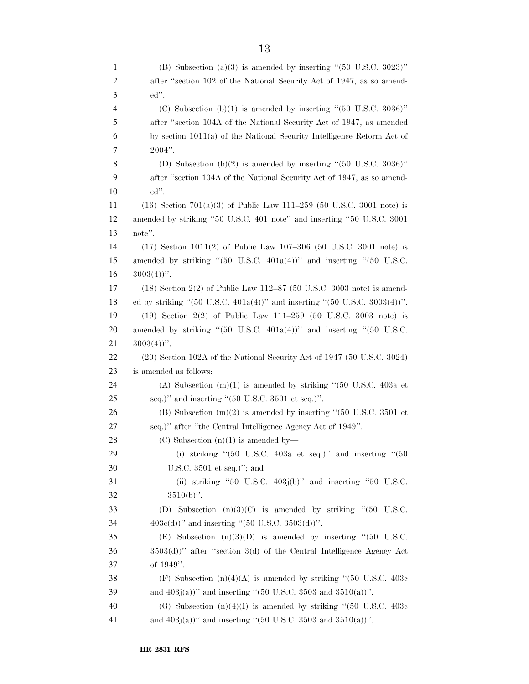| 1              | (B) Subsection (a)(3) is amended by inserting " $(50 \text{ U.S.C. } 3023)$ "                                              |
|----------------|----------------------------------------------------------------------------------------------------------------------------|
| $\overline{c}$ | after "section 102 of the National Security Act of 1947, as so amend-                                                      |
| 3              | $ed$ ".                                                                                                                    |
| 4              | (C) Subsection (b)(1) is amended by inserting " $(50 \text{ U.S.C. } 3036)$ "                                              |
| 5              | after "section 104A of the National Security Act of 1947, as amended                                                       |
| 6              | by section 1011(a) of the National Security Intelligence Reform Act of                                                     |
| 7              | $2004"$ .                                                                                                                  |
| 8              | (D) Subsection (b)(2) is amended by inserting " $(50 \text{ U.S.C. } 3036)$ "                                              |
| 9              | after "section 104A of the National Security Act of 1947, as so amend-                                                     |
| 10             | ed".                                                                                                                       |
| 11             | $(16)$ Section $701(a)(3)$ of Public Law $111-259$ (50 U.S.C. 3001 note) is                                                |
| 12             | amended by striking "50 U.S.C. 401 note" and inserting "50 U.S.C. 3001                                                     |
| 13             | note".                                                                                                                     |
| 14             | $(17)$ Section $1011(2)$ of Public Law $107-306$ (50 U.S.C. 3001 note) is                                                  |
| 15             | amended by striking " $(50 \text{ U.S.C. } 401a(4))$ " and inserting " $(50 \text{ U.S.C. } 401a(4))$ "                    |
| 16             | $3003(4)$ ".                                                                                                               |
| 17             | $(18)$ Section 2(2) of Public Law 112–87 (50 U.S.C. 3003 note) is amend-                                                   |
| 18             | ed by striking "(50 U.S.C. 401a(4))" and inserting "(50 U.S.C. 3003(4))".                                                  |
| 19             | $(19)$ Section $2(2)$ of Public Law $111-259$ (50 U.S.C. 3003 note) is                                                     |
| 20             | amended by striking " $(50 \text{ U.S.C. } 401a(4))$ " and inserting " $(50 \text{ U.S.C. } 401a(4))$ "                    |
| 21             | $3003(4)$ ".                                                                                                               |
| 22             | $(20)$ Section 102A of the National Security Act of 1947 (50 U.S.C. 3024)                                                  |
| 23             | is amended as follows:                                                                                                     |
| 24             | (A) Subsection $(m)(1)$ is amended by striking "(50 U.S.C. 403a et                                                         |
| 25             | seq.)" and inserting " $(50 \text{ U.S.C. } 3501 \text{ et seq.})$ ".                                                      |
| 26             | (B) Subsection $(m)(2)$ is amended by inserting "(50 U.S.C. 3501 et                                                        |
| 27             | seq.)" after "the Central Intelligence Agency Act of 1949".                                                                |
| 28             | $(C)$ Subsection $(n)(1)$ is amended by—                                                                                   |
| 29             | (i) striking " $(50 \text{ U.S.C. } 403a \text{ et seq.})$ " and inserting " $(50 \text{ V.S.C. } 403a \text{ et seq.})$ " |
| 30             | U.S.C. $3501$ et seq.)"; and                                                                                               |
| 31             | (ii) striking "50 U.S.C. $403j(b)$ " and inserting "50 U.S.C.                                                              |
| 32             | $3510(b)$ ".                                                                                                               |
| 33             | (D) Subsection $(n)(3)(C)$ is amended by striking "(50 U.S.C.                                                              |
| 34             | $403e(d)$ " and inserting "(50 U.S.C. 3503(d))".                                                                           |
| 35             | (E) Subsection $(n)(3)(D)$ is amended by inserting "(50 U.S.C.                                                             |
| 36             | 3503(d))" after "section 3(d) of the Central Intelligence Agency Act                                                       |
| 37             | of 1949".                                                                                                                  |
| 38             | (F) Subsection $(n)(4)(A)$ is amended by striking "(50 U.S.C. 403c)                                                        |
| 39             | and $403j(a)$ )" and inserting "(50 U.S.C. 3503 and 3510(a))".                                                             |
| 40             | (G) Subsection $(n)(4)(I)$ is amended by striking "(50 U.S.C. 403c)                                                        |
| 41             | and $403j(a)$ )" and inserting "(50 U.S.C. 3503 and 3510(a))".                                                             |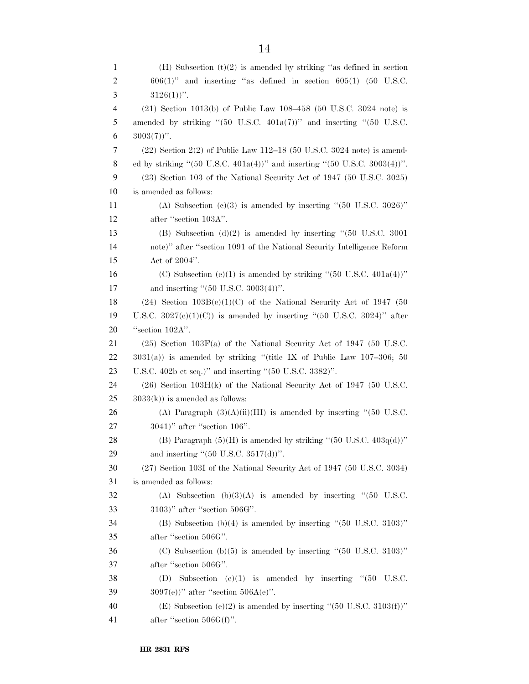| 1              | (H) Subsection $(t)(2)$ is amended by striking "as defined in section                                   |
|----------------|---------------------------------------------------------------------------------------------------------|
| $\overline{c}$ | $606(1)$ " and inserting "as defined in section $605(1)$ (50 U.S.C.                                     |
| 3              | $3126(1)$ ".                                                                                            |
| 4              | $(21)$ Section 1013(b) of Public Law 108-458 (50 U.S.C. 3024 note) is                                   |
| 5              | amended by striking " $(50 \text{ U.S.C. } 401a(7))$ " and inserting " $(50 \text{ U.S.C. } 401a(7))$ " |
| 6              | $3003(7)$ ".                                                                                            |
| 7              | $(22)$ Section $2(2)$ of Public Law 112–18 (50 U.S.C. 3024 note) is amend-                              |
| 8              | ed by striking "(50 U.S.C. 401a(4))" and inserting "(50 U.S.C. 3003(4))".                               |
| 9              | $(23)$ Section 103 of the National Security Act of 1947 (50 U.S.C. 3025)                                |
| 10             | is amended as follows:                                                                                  |
| 11             | (A) Subsection (c)(3) is amended by inserting " $(50 \text{ U.S.C. } 3026)$ "                           |
| 12             | after "section 103A".                                                                                   |
| 13             | (B) Subsection (d)(2) is amended by inserting " $(50 \text{ U.S.C. } 3001$                              |
| 14             | note)" after "section 1091 of the National Security Intelligence Reform                                 |
| 15             | Act of $2004$ ".                                                                                        |
| 16             | (C) Subsection (e)(1) is amended by striking " $(50 \text{ U.S.C. } 401a(4))$ "                         |
| 17             | and inserting " $(50 \text{ U.S.C. } 3003(4))$ ".                                                       |
| 18             | $(24)$ Section $103B(c)(1)(C)$ of the National Security Act of 1947 (50                                 |
| 19             | U.S.C. $3027(e)(1)(C)$ is amended by inserting "(50 U.S.C. 3024)" after                                 |
| 20             | "section 102A".                                                                                         |
| 21             | $(25)$ Section 103F(a) of the National Security Act of 1947 (50 U.S.C.                                  |
| 22             | $3031(a)$ ) is amended by striking "(title IX of Public Law 107-306; 50                                 |
| 23             | U.S.C. 402b et seq.)" and inserting " $(50 \text{ U.S.C. } 3382)$ ".                                    |
| 24             | $(26)$ Section 103H(k) of the National Security Act of 1947 (50 U.S.C.                                  |
| 25             | $3033(k)$ is amended as follows:                                                                        |
| 26             | (A) Paragraph $(3)(A)(ii)(III)$ is amended by inserting "(50 U.S.C.                                     |
| 27             | $3041$ )" after "section $106$ ".                                                                       |
| 28             | (B) Paragraph $(5)(H)$ is amended by striking " $(50 \text{ U.S.C. } 403q(d))$ "                        |
| 29             | and inserting " $(50 \text{ U.S.C. } 3517(d))$ ".                                                       |
| 30             | (27) Section 103I of the National Security Act of 1947 (50 U.S.C. 3034)                                 |
| 31             | is amended as follows:                                                                                  |
| 32             | (A) Subsection $(b)(3)(A)$ is amended by inserting "(50 U.S.C.                                          |
| 33             | $3103$ )" after "section $506G$ ".                                                                      |
| 34             | (B) Subsection (b)(4) is amended by inserting " $(50 \text{ U.S.C. } 3103)$ "                           |
| 35             | after "section 506G".                                                                                   |
| 36             | (C) Subsection (b) $(5)$ is amended by inserting " $(50 \text{ U.S.C. } 3103)$ "                        |
| 37             | after "section 506G".                                                                                   |
| 38             | (D) Subsection $(e)(1)$ is amended by inserting " $(50 \text{ U.S.C.})$                                 |
| 39             | $3097(e)$ " after "section $506A(e)$ ".                                                                 |
| 40             | (E) Subsection (e)(2) is amended by inserting " $(50 \text{ U.S.C. } 3103(f))$ "                        |
| 41             | after "section $506G(f)$ ".                                                                             |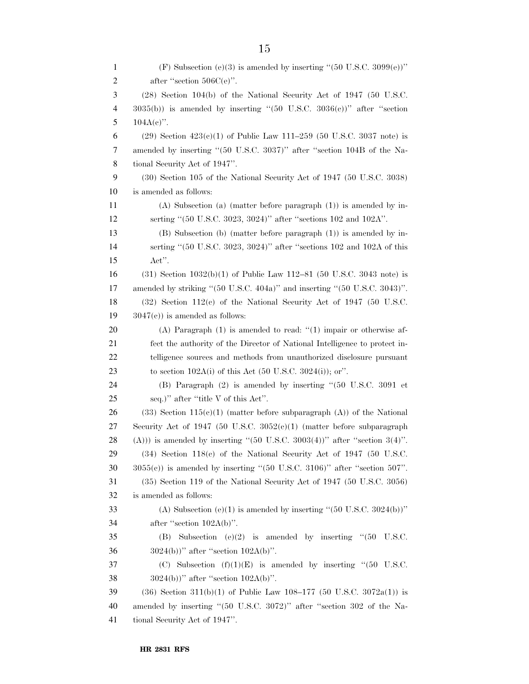| 1              | (F) Subsection (e)(3) is amended by inserting "(50 U.S.C. 3099(e))"                    |
|----------------|----------------------------------------------------------------------------------------|
| $\overline{c}$ | after "section $506C(e)$ ".                                                            |
| 3              | $(28)$ Section 104(b) of the National Security Act of 1947 (50 U.S.C.                  |
| 4              | $3035(b)$ ) is amended by inserting "(50 U.S.C. $3036(c)$ )" after "section            |
| 5              | $104A(e)$ .                                                                            |
| 6              | $(29)$ Section $423(c)(1)$ of Public Law 111-259 (50 U.S.C. 3037 note) is              |
| 7              | amended by inserting "(50 U.S.C. 3037)" after "section 104B of the Na-                 |
| 8              | tional Security Act of 1947".                                                          |
| 9              | (30) Section 105 of the National Security Act of 1947 (50 U.S.C. 3038)                 |
| 10             | is amended as follows:                                                                 |
| 11             | $(A)$ Subsection (a) (matter before paragraph $(1)$ ) is amended by in-                |
| 12             | serting "(50 U.S.C. 3023, 3024)" after "sections 102 and 102A".                        |
| 13             | $(B)$ Subsection (b) (matter before paragraph $(1)$ ) is amended by in-                |
| 14             | serting "(50 U.S.C. 3023, 3024)" after "sections 102 and 102A of this                  |
| 15             | Act".                                                                                  |
| 16             | $(31)$ Section $1032(b)(1)$ of Public Law 112–81 (50 U.S.C. 3043 note) is              |
| 17             | amended by striking "(50 U.S.C. 404a)" and inserting "(50 U.S.C. 3043)".               |
| 18             | $(32)$ Section 112(c) of the National Security Act of 1947 (50 U.S.C.                  |
| 19             | $3047(c)$ ) is amended as follows:                                                     |
| 20             | $(A)$ Paragraph $(1)$ is amended to read: " $(1)$ impair or otherwise af-              |
| 21             | fect the authority of the Director of National Intelligence to protect in-             |
| 22             | telligence sources and methods from unauthorized disclosure pursuant                   |
| 23             | to section 102A(i) of this Act $(50 \text{ U.S.C. } 3024(i))$ ; or".                   |
| 24             | $(B)$ Paragraph $(2)$ is amended by inserting " $(50 \text{ U.S.C. } 3091 \text{ et }$ |
| 25             | seq.)" after "title V of this Act".                                                    |
| 26             | $(33)$ Section 115(c)(1) (matter before subparagraph (A)) of the National              |
| 27             | Security Act of 1947 (50 U.S.C. $3052(e)(1)$ (matter before subparagraph               |
| 28             | $(A))$ is amended by inserting "(50 U.S.C. 3003(4))" after "section 3(4)".             |
| 29             | $(34)$ Section 118 $(e)$ of the National Security Act of 1947 (50 U.S.C.               |
| 30             | $3055(c)$ ) is amended by inserting "(50 U.S.C. 3106)" after "section 507".            |
| 31             | $(35)$ Section 119 of the National Security Act of 1947 (50 U.S.C. 3056)               |
| 32             | is amended as follows:                                                                 |
| 33             | (A) Subsection (e)(1) is amended by inserting " $(50 \text{ U.S.C. } 3024(b))$ "       |
| 34             | after "section $102A(b)$ ".                                                            |
| 35             | (B) Subsection (e)(2) is amended by inserting " $(50$<br>U.S.C.                        |
| 36             | $3024(b)$ " after "section $102A(b)$ ".                                                |
| 37             | (C) Subsection $(f)(1)(E)$ is amended by inserting "(50 U.S.C.                         |
| 38             | $3024(b)$ " after "section $102A(b)$ ".                                                |
| 39             | $(36)$ Section 311(b)(1) of Public Law 108-177 (50 U.S.C. 3072a(1)) is                 |
| 40             | amended by inserting "(50 U.S.C. 3072)" after "section 302 of the Na-                  |
| 41             | tional Security Act of 1947".                                                          |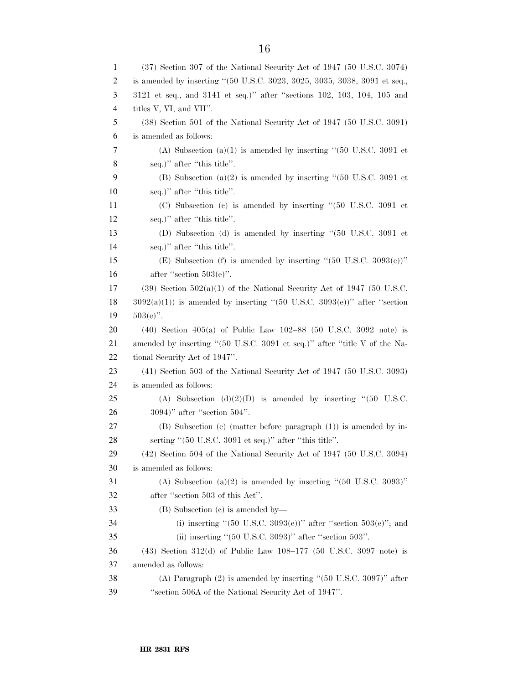| 1  | $(37)$ Section 307 of the National Security Act of 1947 (50 U.S.C. 3074)                       |
|----|------------------------------------------------------------------------------------------------|
| 2  | is amended by inserting "(50 U.S.C. 3023, 3025, 3035, 3038, 3091 et seq.,                      |
| 3  | 3121 et seq., and 3141 et seq.)" after "sections 102, 103, 104, 105 and                        |
| 4  | titles V, VI, and VII".                                                                        |
| 5  | (38) Section 501 of the National Security Act of 1947 (50 U.S.C. 3091)                         |
| 6  | is amended as follows:                                                                         |
| 7  | (A) Subsection (a)(1) is amended by inserting " $(50 \text{ U.S.C. } 3091 \text{ et }$         |
| 8  | seq.)" after "this title".                                                                     |
| 9  | (B) Subsection (a)(2) is amended by inserting "(50 U.S.C. 3091 et                              |
| 10 | seq.)" after "this title".                                                                     |
| 11 | $(C)$ Subsection $(c)$ is amended by inserting " $(50 \text{ U.S.C. } 3091 \text{ et }$        |
| 12 | seq.)" after "this title".                                                                     |
| 13 | (D) Subsection (d) is amended by inserting "(50 U.S.C. 3091 et                                 |
| 14 | seq.)" after "this title".                                                                     |
| 15 | (E) Subsection (f) is amended by inserting " $(50 \text{ U.S.C. } 3093(e))$ "                  |
| 16 | after "section $503(e)$ ".                                                                     |
| 17 | $(39)$ Section $502(a)(1)$ of the National Security Act of 1947 (50 U.S.C.                     |
| 18 | $3092(a)(1)$ is amended by inserting "(50 U.S.C. 3093(e))" after "section                      |
| 19 | $503(e)$ ".                                                                                    |
| 20 | $(40)$ Section $405(a)$ of Public Law $102-88$ (50 U.S.C. 3092 note) is                        |
| 21 | amended by inserting " $(50 \text{ U.S.C. } 3091 \text{ et seq.})$ " after "title V of the Na- |
| 22 | tional Security Act of 1947".                                                                  |
| 23 | (41) Section 503 of the National Security Act of 1947 (50 U.S.C. 3093)                         |
| 24 | is amended as follows:                                                                         |
| 25 | (A) Subsection (d) $(2)(D)$ is amended by inserting "(50 U.S.C.                                |
| 26 | $3094$ )" after "section $504$ ".                                                              |
| 27 | $(B)$ Subsection (e) (matter before paragraph $(1)$ ) is amended by in-                        |
| 28 | serting " $(50 \text{ U.S.C. } 3091 \text{ et seq.})$ " after "this title".                    |
| 29 | $(42)$ Section 504 of the National Security Act of 1947 (50 U.S.C. 3094)                       |
| 30 | is amended as follows:                                                                         |
| 31 | (A) Subsection (a)(2) is amended by inserting " $(50 \text{ U.S.C. } 3093)$ "                  |
| 32 | after "section 503 of this Act".                                                               |
| 33 | (B) Subsection (c) is amended by—                                                              |
| 34 | (i) inserting " $(50 \text{ U.S.C. } 3093(e))$ " after "section $503(e)$ "; and                |
| 35 | (ii) inserting " $(50 \text{ U.S.C. } 3093)$ " after "section $503$ ".                         |
| 36 | $(43)$ Section 312(d) of Public Law 108-177 (50 U.S.C. 3097 note) is                           |
| 37 | amended as follows:                                                                            |
| 38 | (A) Paragraph $(2)$ is amended by inserting " $(50 \text{ U.S.C. } 3097)$ " after              |
| 39 | "section 506A of the National Security Act of 1947".                                           |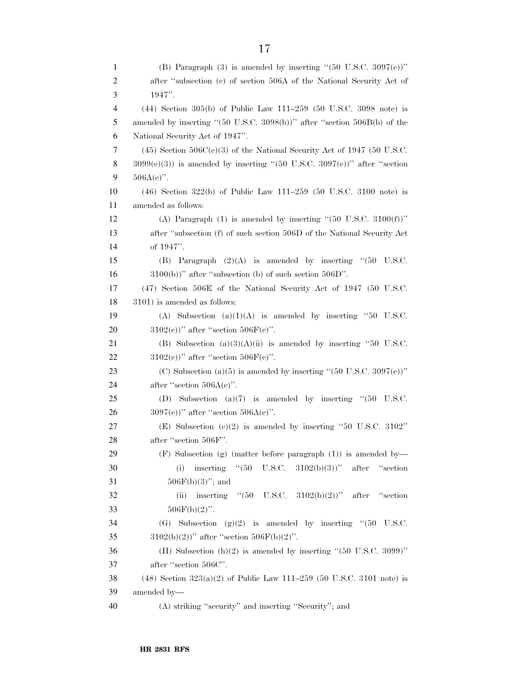| $\mathbf{1}$   | (B) Paragraph $(3)$ is amended by inserting " $(50 \text{ U.S.C. } 3097(e))$ "                                                               |
|----------------|----------------------------------------------------------------------------------------------------------------------------------------------|
| $\overline{c}$ | after "subsection (e) of section 506A of the National Security Act of                                                                        |
| 3              | 1947".                                                                                                                                       |
| 4              | $(44)$ Section 305(b) of Public Law 111–259 (50 U.S.C. 3098 note) is                                                                         |
| 5              | amended by inserting "(50 U.S.C. 3098(b))" after "section 506B(b) of the                                                                     |
| 6              | National Security Act of 1947".                                                                                                              |
| 7              | $(45)$ Section $506C(e)(3)$ of the National Security Act of 1947 (50 U.S.C.                                                                  |
| 8              | $3099(e)(3)$ ) is amended by inserting "(50 U.S.C. $3097(e)$ )" after "section                                                               |
| 9              | $506A(e)$ ".                                                                                                                                 |
| 10             | $(46)$ Section 322(b) of Public Law 111–259 (50 U.S.C. 3100 note) is                                                                         |
| 11             | amended as follows:                                                                                                                          |
| 12             | (A) Paragraph (1) is amended by inserting " $(50 \text{ U.S.C. } 3100(f))$ "                                                                 |
| 13             | after "subsection (f) of such section 506D of the National Security Act                                                                      |
| 14             | of 1947".                                                                                                                                    |
| 15             | (B) Paragraph $(2)(A)$ is amended by inserting "(50 U.S.C.                                                                                   |
| 16             | $(3100(b))$ " after "subsection (b) of such section $506D$ ".                                                                                |
| 17             | (47) Section 506E of the National Security Act of 1947 (50 U.S.C.                                                                            |
| 18             | 3101) is amended as follows:                                                                                                                 |
| 19             | (A) Subsection (a) $(1)(A)$ is amended by inserting "50 U.S.C.                                                                               |
| 20             | $3102(e)$ " after "section $506F(e)$ ".                                                                                                      |
| 21             | (B) Subsection $(a)(3)(A)(ii)$ is amended by inserting "50 U.S.C.                                                                            |
| 22             | $3102(e)$ " after "section $506F(e)$ ".                                                                                                      |
| 23             | (C) Subsection (a)(5) is amended by inserting "(50 U.S.C. 3097(e))"                                                                          |
| 24             | after "section $506A(e)$ ".                                                                                                                  |
| 25             | (D) Subsection (a) $(7)$ is amended by inserting " $(50 \text{ U.S.C.})$                                                                     |
| 26             | $3097(e)$ " after "section $506A(e)$ ".                                                                                                      |
| 27             | (E) Subsection (e)(2) is amended by inserting "50 U.S.C. 3102"                                                                               |
| 28             | after "section 506F".                                                                                                                        |
| 29<br>30       | $(F)$ Subsection (g) (matter before paragraph $(1)$ ) is amended by-<br>inserting "(50 U.S.C.<br>$3102(b)(3)$ "<br>after<br>(i)<br>"section" |
| 31             | $506F(b)(3)$ "; and                                                                                                                          |
| 32             | U.S.C. $3102(b)(2)$ " after<br>inserting $\degree$ (50<br>"section"<br>(ii)                                                                  |
| 33             | $506F(b)(2)$ ".                                                                                                                              |
| 34             | Subsection $(g)(2)$ is amended by inserting "(50 U.S.C.<br>(G)                                                                               |
| 35             | $3102(b)(2)$ " after "section $506F(b)(2)$ ".                                                                                                |
| 36             | (H) Subsection $(h)(2)$ is amended by inserting "(50 U.S.C. 3099)"                                                                           |
| 37             | after "section 506C".                                                                                                                        |
| 38             | (48) Section $323(a)(2)$ of Public Law 111–259 (50 U.S.C. 3101 note) is                                                                      |
| 39             | amended by-                                                                                                                                  |
| 40             | (A) striking "security" and inserting "Security"; and                                                                                        |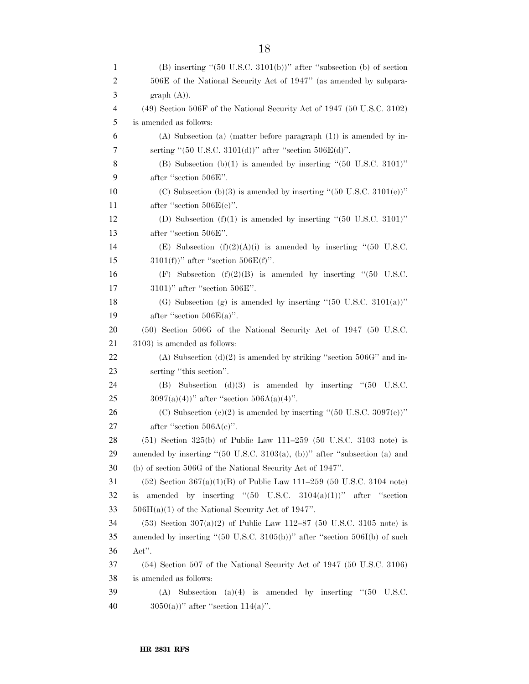| $\mathbf{1}$ | $(B)$ inserting " $(50 \text{ U.S.C. } 3101(b))$ " after "subsection (b) of section                                                               |
|--------------|---------------------------------------------------------------------------------------------------------------------------------------------------|
| 2            | 506E of the National Security Act of 1947" (as amended by subpara-                                                                                |
| 3            | graph(A).                                                                                                                                         |
| 4            | $(49)$ Section 506F of the National Security Act of 1947 (50 U.S.C. 3102)                                                                         |
| 5            | is amended as follows:                                                                                                                            |
| 6            | $(A)$ Subsection (a) (matter before paragraph $(1)$ ) is amended by in-                                                                           |
| 7            | serting "(50 U.S.C. 3101(d))" after "section $506E(d)$ ".                                                                                         |
| 8            | (B) Subsection (b)(1) is amended by inserting " $(50 \text{ U.S.C. } 3101)$ "                                                                     |
| 9            | after "section 506E".                                                                                                                             |
| 10           | (C) Subsection (b)(3) is amended by inserting " $(50 \text{ U.S.C. } 3101(e))$ "                                                                  |
| 11           | after "section $506E(e)$ ".                                                                                                                       |
| 12           | (D) Subsection $(f)(1)$ is amended by inserting "(50 U.S.C. 3101)"                                                                                |
| 13           | after "section 506E".                                                                                                                             |
| 14           | (E) Subsection $(f)(2)(A)(i)$ is amended by inserting "(50 U.S.C.                                                                                 |
| 15           | $3101(f)$ " after "section $506E(f)$ ".                                                                                                           |
| 16           | (F) Subsection $(f)(2)(B)$ is amended by inserting "(50 U.S.C.                                                                                    |
| 17           | $3101$ )" after "section $506E$ ".                                                                                                                |
| 18           | (G) Subsection (g) is amended by inserting " $(50 \text{ U.S.C. } 3101(a))$ "                                                                     |
| 19           | after "section $506E(a)$ ".                                                                                                                       |
| 20           | (50) Section 506G of the National Security Act of 1947 (50 U.S.C.                                                                                 |
| 21           | 3103) is amended as follows:                                                                                                                      |
| 22           | (A) Subsection $(d)(2)$ is amended by striking "section 506G" and in-                                                                             |
| 23           | serting "this section".                                                                                                                           |
| 24           | Subsection (d)(3) is amended by inserting " $(50$<br>U.S.C.<br>(B)                                                                                |
| 25           | $3097(a)(4)$ " after "section $506A(a)(4)$ ".                                                                                                     |
| 26           | (C) Subsection (e)(2) is amended by inserting " $(50 \text{ U.S.C. } 3097\text{(e)})$ "                                                           |
| 27           | after "section $506A(e)$ ".                                                                                                                       |
| 28<br>29     | $(51)$ Section 325(b) of Public Law 111-259 (50 U.S.C. 3103 note) is<br>amended by inserting "(50 U.S.C. 3103(a), (b))" after "subsection (a) and |
| 30           | (b) of section 506G of the National Security Act of 1947".                                                                                        |
| 31           | $(52)$ Section 367(a)(1)(B) of Public Law 111–259 (50 U.S.C. 3104 note)                                                                           |
| 32           | amended by inserting " $(50 \text{ U.S.C. } 3104(a)(1))$ " after "section<br>is                                                                   |
| 33           | $506H(a)(1)$ of the National Security Act of 1947".                                                                                               |
| 34           | $(53)$ Section $307(a)(2)$ of Public Law 112–87 (50 U.S.C. 3105 note) is                                                                          |
| 35           | amended by inserting " $(50 \text{ U.S.C. } 3105(b))$ " after "section $506I(b)$ of such                                                          |
| 36           | Act".                                                                                                                                             |
| 37           | $(54)$ Section 507 of the National Security Act of 1947 (50 U.S.C. 3106)                                                                          |
| 38           | is amended as follows:                                                                                                                            |
| 39           | Subsection<br>$(a)(4)$ is amended by inserting " $(50)$<br>U.S.C.<br>(A)                                                                          |
| 40           | $3050(a)$ " after "section 114(a)".                                                                                                               |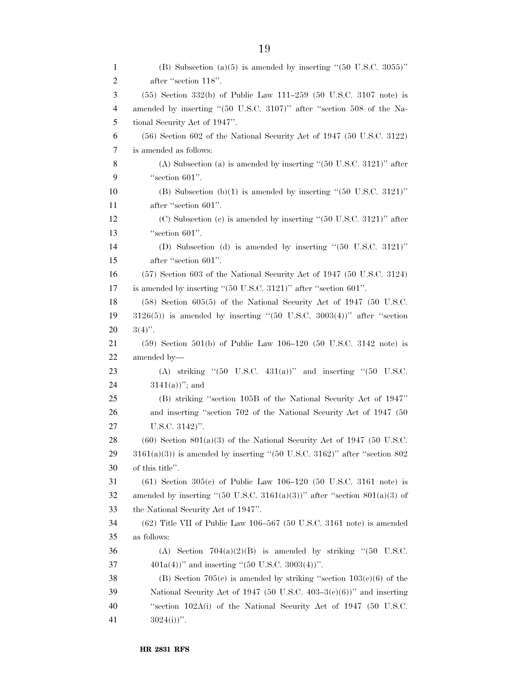| $\mathbf{1}$ | (B) Subsection (a)(5) is amended by inserting " $(50 \text{ U.S.C. } 3055)$ "                  |
|--------------|------------------------------------------------------------------------------------------------|
| 2            | after "section 118".                                                                           |
| 3            | $(55)$ Section 332(b) of Public Law 111–259 (50 U.S.C. 3107 note) is                           |
| 4            | amended by inserting "(50 U.S.C. 3107)" after "section 508 of the Na-                          |
| 5            | tional Security Act of 1947".                                                                  |
| 6            | $(56)$ Section 602 of the National Security Act of 1947 (50 U.S.C. 3122)                       |
| 7            | is amended as follows:                                                                         |
| 8            | (A) Subsection (a) is amended by inserting " $(50 \text{ U.S.C. } 3121)$ " after               |
| 9            | "section 601".                                                                                 |
| 10           | (B) Subsection (b)(1) is amended by inserting " $(50 \text{ U.S.C. } 3121)$ "                  |
| 11           | after "section 601".                                                                           |
| 12           | $(C)$ Subsection $(c)$ is amended by inserting " $(50 \text{ U.S.C. } 3121)$ " after           |
| 13           | "section $601$ ".                                                                              |
| 14           | (D) Subsection (d) is amended by inserting " $(50 \text{ U.S.C. } 3121)$ "                     |
| 15           | after "section 601".                                                                           |
| 16           | $(57)$ Section 603 of the National Security Act of 1947 (50 U.S.C. 3124)                       |
| 17           | is amended by inserting " $(50 \text{ U.S.C. } 3121)$ " after "section $601$ ".                |
| 18           | $(58)$ Section $605(5)$ of the National Security Act of 1947 (50 U.S.C.                        |
| 19           | $3126(5)$ ) is amended by inserting "(50 U.S.C. 3003(4))" after "section                       |
| 20           | $3(4)$ ".                                                                                      |
| 21           | $(59)$ Section $501(b)$ of Public Law $106-120$ (50 U.S.C. 3142 note) is                       |
| 22           | amended by-                                                                                    |
| 23           | (A) striking " $(50 \text{ U.S.C. } 431(a))$ " and inserting " $(50 \text{ U.S.C. } 431(a))$ " |
| 24           | $3141(a)$ "; and                                                                               |
| 25           | (B) striking "section 105B of the National Security Act of 1947"                               |
| 26           | and inserting "section 702 of the National Security Act of 1947 (50                            |
| 27           | U.S.C. 3142)".                                                                                 |
| 28           | $(60)$ Section 801(a)(3) of the National Security Act of 1947 (50 U.S.C.                       |
| 29           | $3161(a)(3)$ ) is amended by inserting "(50 U.S.C. 3162)" after "section 802                   |
| 30           | of this title".                                                                                |
| 31           | $(61)$ Section 305(c) of Public Law 106-120 (50 U.S.C. 3161 note) is                           |
| 32           | amended by inserting "(50 U.S.C. 3161(a)(3))" after "section $801(a)(3)$ of                    |
| 33           | the National Security Act of 1947".                                                            |
| 34           | $(62)$ Title VII of Public Law 106-567 (50 U.S.C. 3161 note) is amended                        |
| 35           | as follows:                                                                                    |
| 36           | Section $704(a)(2)(B)$ is amended by striking "(50 U.S.C.<br>(A)                               |
| 37           | $401a(4)$ " and inserting "(50 U.S.C. 3003(4))".                                               |
| 38           | (B) Section 705(c) is amended by striking "section $103(c)(6)$ of the                          |
| 39           | National Security Act of 1947 (50 U.S.C. 403-3(c)(6))" and inserting                           |
| 40           | "section 102A(i) of the National Security Act of 1947 (50 U.S.C.                               |
| 41           | $3024(i)$ .                                                                                    |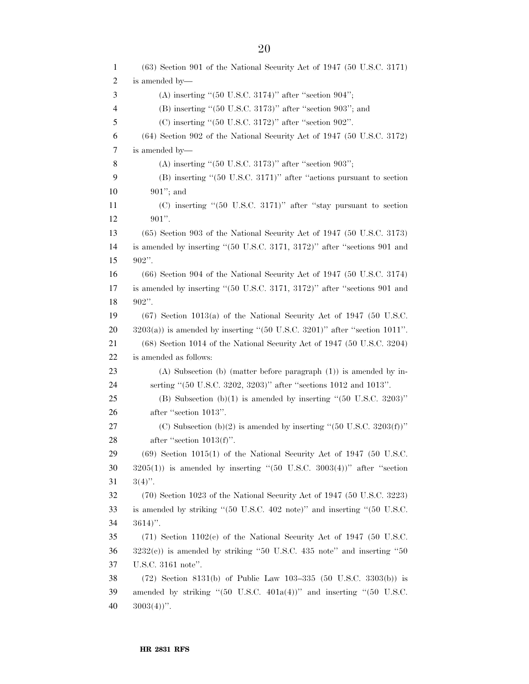| 1  | $(63)$ Section 901 of the National Security Act of 1947 $(50 \text{ U.S.C. } 3171)$                     |
|----|---------------------------------------------------------------------------------------------------------|
| 2  | is amended by—                                                                                          |
| 3  | (A) inserting " $(50 \text{ U.S.C. } 3174)$ " after "section $904$ ";                                   |
| 4  | $(B)$ inserting "(50 U.S.C. 3173)" after "section 903"; and                                             |
| 5  | $(C)$ inserting "(50 U.S.C. 3172)" after "section 902".                                                 |
| 6  | $(64)$ Section 902 of the National Security Act of 1947 (50 U.S.C. 3172)                                |
| 7  | is amended by-                                                                                          |
| 8  | $(A)$ inserting " $(50 \text{ U.S.C. } 3173)$ " after "section 903";                                    |
| 9  | $(B)$ inserting " $(50 \text{ U.S.C. } 3171)$ " after "actions pursuant to section                      |
| 10 | $901$ "; and                                                                                            |
| 11 | $(C)$ inserting " $(50 \text{ U.S.C. } 3171)$ " after "stay pursuant to section                         |
| 12 | $901$ ".                                                                                                |
| 13 | $(65)$ Section 903 of the National Security Act of 1947 (50 U.S.C. 3173)                                |
| 14 | is amended by inserting "(50 U.S.C. 3171, 3172)" after "sections 901 and                                |
| 15 | $902$ ".                                                                                                |
| 16 | $(66)$ Section 904 of the National Security Act of 1947 (50 U.S.C. 3174)                                |
| 17 | is amended by inserting "(50 U.S.C. 3171, 3172)" after "sections 901 and                                |
| 18 | $902$ ".                                                                                                |
| 19 | $(67)$ Section 1013(a) of the National Security Act of 1947 (50 U.S.C.                                  |
| 20 | $3203(a)$ ) is amended by inserting "(50 U.S.C. 3201)" after "section 1011".                            |
| 21 | $(68)$ Section 1014 of the National Security Act of 1947 (50 U.S.C. 3204)                               |
| 22 | is amended as follows:                                                                                  |
| 23 | $(A)$ Subsection (b) (matter before paragraph $(1)$ ) is amended by in-                                 |
| 24 | serting "(50 U.S.C. 3202, 3203)" after "sections 1012 and 1013".                                        |
| 25 | (B) Subsection (b)(1) is amended by inserting " $(50 \text{ U.S.C. } 3203)$ "                           |
| 26 | after "section 1013".                                                                                   |
| 27 | (C) Subsection (b)(2) is amended by inserting " $(50 \text{ U.S.C. } 3203(f))$ "                        |
| 28 | after "section $1013(f)$ ".                                                                             |
| 29 | $(69)$ Section 1015(1) of the National Security Act of 1947 (50 U.S.C.                                  |
| 30 | $3205(1)$ ) is amended by inserting "(50 U.S.C. $3003(4)$ )" after "section                             |
| 31 | $3(4)$ ".                                                                                               |
| 32 | (70) Section 1023 of the National Security Act of 1947 (50 U.S.C. 3223)                                 |
| 33 | is amended by striking "(50 U.S.C. 402 note)" and inserting "(50 U.S.C.                                 |
| 34 | $3614)$ ".                                                                                              |
| 35 | $(71)$ Section 1102(c) of the National Security Act of 1947 (50 U.S.C.                                  |
| 36 | $3232(e)$ ) is amended by striking "50 U.S.C. 435 note" and inserting "50                               |
| 37 | U.S.C. 3161 note".                                                                                      |
| 38 | $(72)$ Section 8131(b) of Public Law 103-335 (50 U.S.C. 3303(b)) is                                     |
| 39 | amended by striking " $(50 \text{ U.S.C. } 401a(4))$ " and inserting " $(50 \text{ U.S.C. } 401a(4))$ " |
| 40 | $3003(4)$ ".                                                                                            |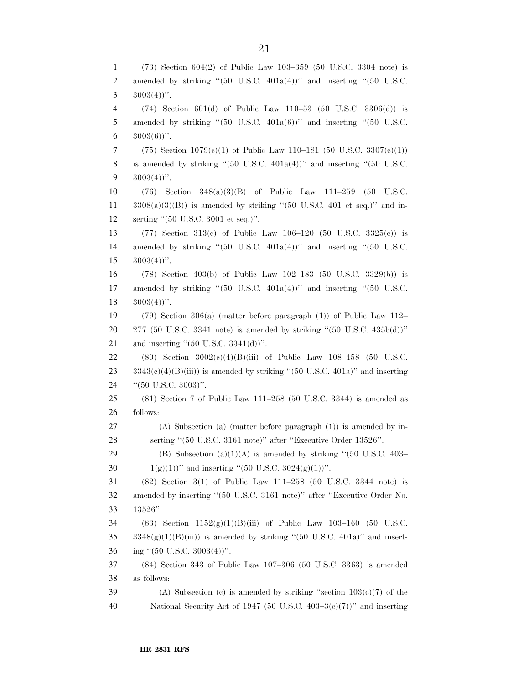(73) Section 604(2) of Public Law 103–359 (50 U.S.C. 3304 note) is 2 amended by striking "(50 U.S.C. 401a(4))" and inserting "(50 U.S.C.  $3003(4)$ ". (74) Section 601(d) of Public Law 110–53 (50 U.S.C. 3306(d)) is 5 amended by striking " $(50 \text{ U.S.C. } 401a(6))$ " and inserting " $(50 \text{ U.S.C. } 401a(6))$ "  $3003(6)$ ". 7 (75) Section  $1079(c)(1)$  of Public Law 110–181 (50 U.S.C. 3307(c)(1)) 8 is amended by striking " $(50 \text{ U.S.C. } 401a(4))$ " and inserting " $(50 \text{ U.S.C. } 401a(4))$ "  $9 \quad 3003(4)$ ". (76) Section 348(a)(3)(B) of Public Law 111–259 (50 U.S.C. 3308(a)(3)(B)) is amended by striking "(50 U.S.C. 401 et seq.)" and in- serting ''(50 U.S.C. 3001 et seq.)''. (77) Section 313(c) of Public Law 106–120 (50 U.S.C. 3325(c)) is 14 amended by striking "(50 U.S.C. 401a(4))" and inserting "(50 U.S.C.  $15 \quad 3003(4))$ ". (78) Section 403(b) of Public Law 102–183 (50 U.S.C. 3329(b)) is 17 amended by striking "(50 U.S.C. 401a(4))" and inserting "(50 U.S.C.  $18 \quad 3003(4)$ ". (79) Section 306(a) (matter before paragraph (1)) of Public Law 112–  $277$  (50 U.S.C. 3341 note) is amended by striking "(50 U.S.C. 435b(d))" 21 and inserting  $(50 \text{ U.S.C. } 3341(d))^{\prime\prime}$ . (80) Section 3002(c)(4)(B)(iii) of Public Law 108–458 (50 U.S.C.  $3343(e)(4)(B(iii))$  is amended by striking "(50 U.S.C. 401a)" and inserting 24 "(50 U.S.C. 3003)". (81) Section 7 of Public Law 111–258 (50 U.S.C. 3344) is amended as follows: (A) Subsection (a) (matter before paragraph (1)) is amended by in- serting ''(50 U.S.C. 3161 note)'' after ''Executive Order 13526''. 29 (B) Subsection (a)(1)(A) is amended by striking "(50 U.S.C.  $403-$ 30 1(g)(1))'' and inserting "(50 U.S.C. 3024(g)(1))''. (82) Section 3(1) of Public Law 111–258 (50 U.S.C. 3344 note) is amended by inserting ''(50 U.S.C. 3161 note)'' after ''Executive Order No. 13526''. (83) Section 1152(g)(1)(B)(iii) of Public Law 103–160 (50 U.S.C.  $3348(g)(1)(B(iii))$  is amended by striking "(50 U.S.C. 401a)" and insert- ing ''(50 U.S.C. 3003(4))''. (84) Section 343 of Public Law 107–306 (50 U.S.C. 3363) is amended as follows: 39 (A) Subsection (c) is amended by striking "section  $103(e)(7)$  of the National Security Act of 1947 (50 U.S.C. 403–3(c)(7))'' and inserting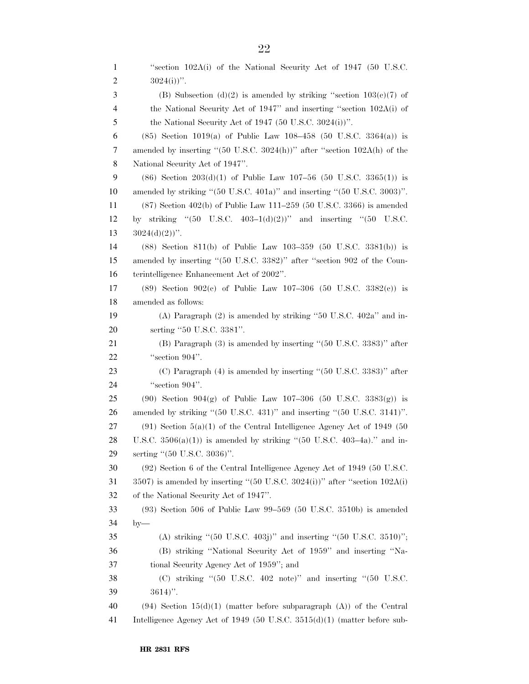''section 102A(i) of the National Security Act of 1947 (50 U.S.C.  $3024(i)$ ". 3 (B) Subsection (d)(2) is amended by striking "section  $103(c)(7)$  of the National Security Act of 1947'' and inserting ''section 102A(i) of the National Security Act of 1947 (50 U.S.C. 3024(i))''. (85) Section 1019(a) of Public Law 108–458 (50 U.S.C. 3364(a)) is amended by inserting ''(50 U.S.C. 3024(h))'' after ''section 102A(h) of the National Security Act of 1947''. 9 (86) Section 203(d)(1) of Public Law 107–56 (50 U.S.C. 3365(1)) is amended by striking ''(50 U.S.C. 401a)'' and inserting ''(50 U.S.C. 3003)''. (87) Section 402(b) of Public Law 111–259 (50 U.S.C. 3366) is amended by striking ''(50 U.S.C. 403–1(d)(2))'' and inserting ''(50 U.S.C.  $13 \qquad 3024(d)(2)$ ". (88) Section 811(b) of Public Law 103–359 (50 U.S.C. 3381(b)) is amended by inserting ''(50 U.S.C. 3382)'' after ''section 902 of the Coun- terintelligence Enhancement Act of 2002''. (89) Section 902(c) of Public Law 107–306 (50 U.S.C. 3382(c)) is amended as follows: (A) Paragraph (2) is amended by striking ''50 U.S.C. 402a'' and in- serting ''50 U.S.C. 3381''. (B) Paragraph (3) is amended by inserting ''(50 U.S.C. 3383)'' after 22 "section 904". (C) Paragraph (4) is amended by inserting ''(50 U.S.C. 3383)'' after 24 "section 904". (90) Section 904(g) of Public Law 107–306 (50 U.S.C. 3383(g)) is amended by striking ''(50 U.S.C. 431)'' and inserting ''(50 U.S.C. 3141)''. (91) Section 5(a)(1) of the Central Intelligence Agency Act of 1949 (50 28 U.S.C.  $3506(a)(1)$  is amended by striking "(50 U.S.C. 403–4a)." and in- serting ''(50 U.S.C. 3036)''. (92) Section 6 of the Central Intelligence Agency Act of 1949 (50 U.S.C.  $3507$ ) is amended by inserting "(50 U.S.C. 3024(i))" after "section 102A(i) of the National Security Act of 1947''. (93) Section 506 of Public Law 99–569 (50 U.S.C. 3510b) is amended by— (A) striking ''(50 U.S.C. 403j)'' and inserting ''(50 U.S.C. 3510)''; (B) striking ''National Security Act of 1959'' and inserting ''Na- tional Security Agency Act of 1959''; and 38 (C) striking "(50 U.S.C. 402 note)" and inserting "(50 U.S.C. 3614)''. 40 (94) Section  $15(d)(1)$  (matter before subparagraph (A)) of the Central Intelligence Agency Act of 1949 (50 U.S.C. 3515(d)(1) (matter before sub-